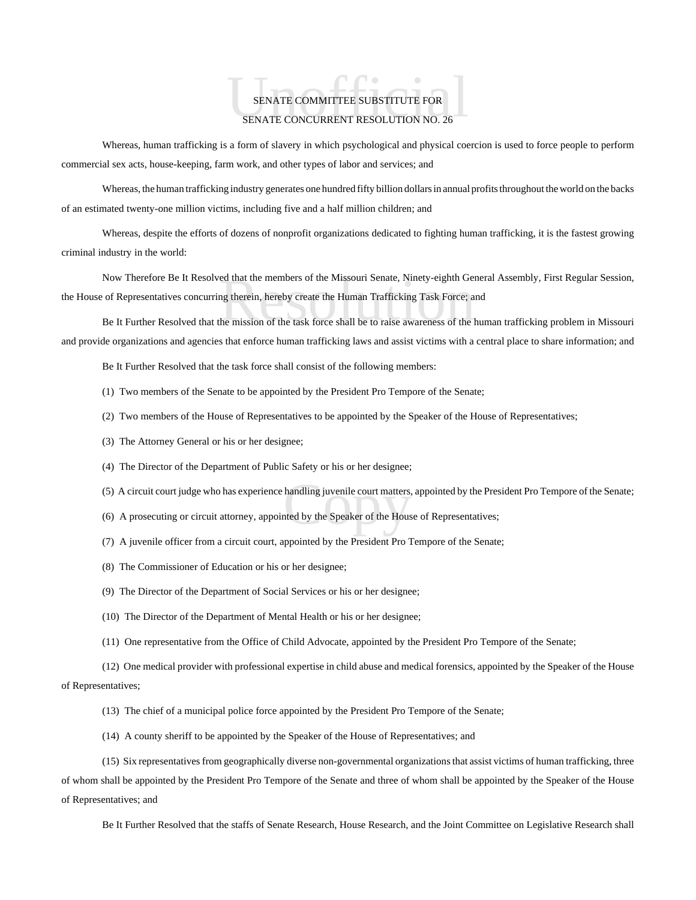## SENATE COMMITTEE SUBSTITUTE FOR SENATE CONCURRENT RESOLUTION NO. 26 SENATE COMMITTEE SUBSTITUTE FOR

Whereas, human trafficking is a form of slavery in which psychological and physical coercion is used to force people to perform commercial sex acts, house-keeping, farm work, and other types of labor and services; and

Whereas, the human trafficking industry generates one hundred fifty billion dollars in annual profits throughout the world on the backs of an estimated twenty-one million victims, including five and a half million children; and

Whereas, despite the efforts of dozens of nonprofit organizations dedicated to fighting human trafficking, it is the fastest growing criminal industry in the world:

ed that the members of the Missouri Senate, Ninety-eighth Gen<br>ag therein, hereby create the Human Trafficking Task Force; a<br>he mission of the task force shall be to raise awareness of the l Now Therefore Be It Resolved that the members of the Missouri Senate, Ninety-eighth General Assembly, First Regular Session, the House of Representatives concurring therein, hereby create the Human Trafficking Task Force; and

Be It Further Resolved that the mission of the task force shall be to raise awareness of the human trafficking problem in Missouri and provide organizations and agencies that enforce human trafficking laws and assist victims with a central place to share information; and

Be It Further Resolved that the task force shall consist of the following members:

- (1) Two members of the Senate to be appointed by the President Pro Tempore of the Senate;
- (2) Two members of the House of Representatives to be appointed by the Speaker of the House of Representatives;
- (3) The Attorney General or his or her designee;
- (4) The Director of the Department of Public Safety or his or her designee;
- handling juvenile court matters,<br>ated by the Speaker of the Hous (5) A circuit court judge who has experience handling juvenile court matters, appointed by the President Pro Tempore of the Senate;
- (6) A prosecuting or circuit attorney, appointed by the Speaker of the House of Representatives;
- (7) A juvenile officer from a circuit court, appointed by the President Pro Tempore of the Senate;
- (8) The Commissioner of Education or his or her designee;
- (9) The Director of the Department of Social Services or his or her designee;
- (10) The Director of the Department of Mental Health or his or her designee;
- (11) One representative from the Office of Child Advocate, appointed by the President Pro Tempore of the Senate;

(12) One medical provider with professional expertise in child abuse and medical forensics, appointed by the Speaker of the House of Representatives;

- (13) The chief of a municipal police force appointed by the President Pro Tempore of the Senate;
- (14) A county sheriff to be appointed by the Speaker of the House of Representatives; and

(15) Six representatives from geographically diverse non-governmental organizations that assist victims of human trafficking, three of whom shall be appointed by the President Pro Tempore of the Senate and three of whom shall be appointed by the Speaker of the House of Representatives; and

Be It Further Resolved that the staffs of Senate Research, House Research, and the Joint Committee on Legislative Research shall